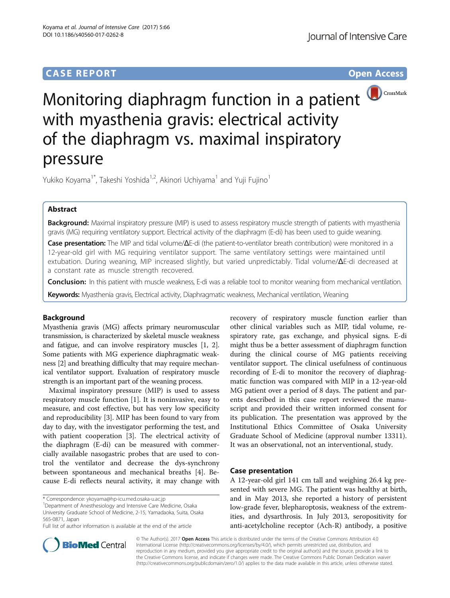# **CASE REPORT CASE REPORT CASE REPORT**



Monitoring diaphragm function in a patient **OCCOSSMark** with myasthenia gravis: electrical activity of the diaphragm vs. maximal inspiratory pressure

Yukiko Koyama<sup>1\*</sup>, Takeshi Yoshida<sup>1,2</sup>, Akinori Uchiyama<sup>1</sup> and Yuji Fujino<sup>1</sup>

## Abstract

Background: Maximal inspiratory pressure (MIP) is used to assess respiratory muscle strength of patients with myasthenia gravis (MG) requiring ventilatory support. Electrical activity of the diaphragm (E-di) has been used to guide weaning.

Case presentation: The MIP and tidal volume/ΔE-di (the patient-to-ventilator breath contribution) were monitored in a 12-year-old girl with MG requiring ventilator support. The same ventilatory settings were maintained until extubation. During weaning, MIP increased slightly, but varied unpredictably. Tidal volume/ΔE-di decreased at a constant rate as muscle strength recovered.

Conclusion: In this patient with muscle weakness, E-di was a reliable tool to monitor weaning from mechanical ventilation.

Keywords: Myasthenia gravis, Electrical activity, Diaphragmatic weakness, Mechanical ventilation, Weaning

## Background

Myasthenia gravis (MG) affects primary neuromuscular transmission, is characterized by skeletal muscle weakness and fatigue, and can involve respiratory muscles [[1, 2](#page-3-0)]. Some patients with MG experience diaphragmatic weakness [[2](#page-3-0)] and breathing difficulty that may require mechanical ventilator support. Evaluation of respiratory muscle strength is an important part of the weaning process.

Maximal inspiratory pressure (MIP) is used to assess respiratory muscle function [\[1](#page-3-0)]. It is noninvasive, easy to measure, and cost effective, but has very low specificity and reproducibility [[3](#page-3-0)]. MIP has been found to vary from day to day, with the investigator performing the test, and with patient cooperation [[3\]](#page-3-0). The electrical activity of the diaphragm (E-di) can be measured with commercially available nasogastric probes that are used to control the ventilator and decrease the dys-synchrony between spontaneous and mechanical breaths [\[4](#page-4-0)]. Because E-di reflects neural activity, it may change with

<sup>1</sup> Department of Anesthesiology and Intensive Care Medicine, Osaka University Graduate School of Medicine, 2-15, Yamadaoka, Suita, Osaka 565-0871, Japan

recovery of respiratory muscle function earlier than other clinical variables such as MIP, tidal volume, respiratory rate, gas exchange, and physical signs. E-di might thus be a better assessment of diaphragm function during the clinical course of MG patients receiving ventilator support. The clinical usefulness of continuous recording of E-di to monitor the recovery of diaphragmatic function was compared with MIP in a 12-year-old MG patient over a period of 8 days. The patient and parents described in this case report reviewed the manuscript and provided their written informed consent for its publication. The presentation was approved by the Institutional Ethics Committee of Osaka University Graduate School of Medicine (approval number 13311). It was an observational, not an interventional, study.

### Case presentation

A 12-year-old girl 141 cm tall and weighing 26.4 kg presented with severe MG. The patient was healthy at birth, and in May 2013, she reported a history of persistent low-grade fever, blepharoptosis, weakness of the extremities, and dysarthrosis. In July 2013, seropositivity for anti-acetylcholine receptor (Ach-R) antibody, a positive



© The Author(s). 2017 Open Access This article is distributed under the terms of the Creative Commons Attribution 4.0 International License [\(http://creativecommons.org/licenses/by/4.0/](http://creativecommons.org/licenses/by/4.0/)), which permits unrestricted use, distribution, and reproduction in any medium, provided you give appropriate credit to the original author(s) and the source, provide a link to the Creative Commons license, and indicate if changes were made. The Creative Commons Public Domain Dedication waiver [\(http://creativecommons.org/publicdomain/zero/1.0/](http://creativecommons.org/publicdomain/zero/1.0/)) applies to the data made available in this article, unless otherwise stated.

<sup>\*</sup> Correspondence: [ykoyama@hp-icu.med.osaka-u.ac.jp](mailto:ykoyama@hp-icu.med.osaka-u.ac.jp) <sup>1</sup>

Full list of author information is available at the end of the article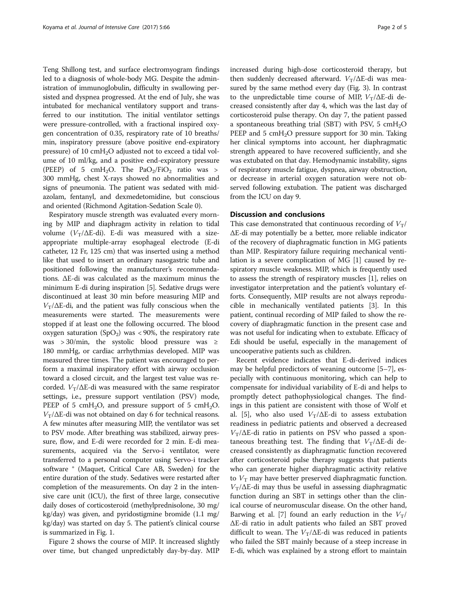Teng Shillong test, and surface electromyogram findings led to a diagnosis of whole-body MG. Despite the administration of immunoglobulin, difficulty in swallowing persisted and dyspnea progressed. At the end of July, she was intubated for mechanical ventilatory support and transferred to our institution. The initial ventilator settings were pressure-controlled, with a fractional inspired oxygen concentration of 0.35, respiratory rate of 10 breaths/ min, inspiratory pressure (above positive end-expiratory pressure) of 10 cmH<sub>2</sub>O adjusted not to exceed a tidal volume of 10 ml/kg, and a positive end-expiratory pressure (PEEP) of 5 cmH<sub>2</sub>O. The PaO<sub>2</sub>/FiO<sub>2</sub> ratio was > 300 mmHg, chest X-rays showed no abnormalities and signs of pneumonia. The patient was sedated with midazolam, fentanyl, and dexmedetomidine, but conscious and oriented (Richmond Agitation-Sedation Scale 0).

Respiratory muscle strength was evaluated every morning by MIP and diaphragm activity in relation to tidal volume ( $V_T/\Delta E$ -di). E-di was measured with a sizeappropriate multiple-array esophageal electrode (E-di catheter, 12 Fr, 125 cm) that was inserted using a method like that used to insert an ordinary nasogastric tube and positioned following the manufacturer's recommendations. ΔE-di was calculated as the maximum minus the minimum E-di during inspiration [\[5](#page-4-0)]. Sedative drugs were discontinued at least 30 min before measuring MIP and  $V_T/\Delta E$ -di, and the patient was fully conscious when the measurements were started. The measurements were stopped if at least one the following occurred. The blood oxygen saturation (SpO<sub>2</sub>) was < 90%, the respiratory rate was > 30/min, the systolic blood pressure was ≥ 180 mmHg, or cardiac arrhythmias developed. MIP was measured three times. The patient was encouraged to perform a maximal inspiratory effort with airway occlusion toward a closed circuit, and the largest test value was recorded.  $V_T/\Delta E$ -di was measured with the same respirator settings, i.e., pressure support ventilation (PSV) mode, PEEP of 5 cmH<sub>2</sub>O, and pressure support of 5 cmH<sub>2</sub>O.  $V_T/\Delta E$ -di was not obtained on day 6 for technical reasons. A few minutes after measuring MIP, the ventilator was set to PSV mode. After breathing was stabilized, airway pressure, flow, and E-di were recorded for 2 min. E-di measurements, acquired via the Servo-i ventilator, were transferred to a personal computer using Servo-i tracker software ® (Maquet, Critical Care AB, Sweden) for the entire duration of the study. Sedatives were restarted after completion of the measurements. On day 2 in the intensive care unit (ICU), the first of three large, consecutive daily doses of corticosteroid (methylprednisolone, 30 mg/ kg/day) was given, and pyridostigmine bromide (1.1 mg/ kg/day) was started on day 5. The patient's clinical course is summarized in Fig. [1](#page-2-0).

Figure [2](#page-2-0) shows the course of MIP. It increased slightly over time, but changed unpredictably day-by-day. MIP increased during high-dose corticosteroid therapy, but then suddenly decreased afterward.  $V_T/\Delta E$ -di was measured by the same method every day (Fig. [3](#page-3-0)). In contrast to the unpredictable time course of MIP,  $V_T/\Delta E$ -di decreased consistently after day 4, which was the last day of corticosteroid pulse therapy. On day 7, the patient passed a spontaneous breathing trial (SBT) with PSV, 5  $cmH<sub>2</sub>O$ PEEP and 5  $cmH<sub>2</sub>O$  pressure support for 30 min. Taking her clinical symptoms into account, her diaphragmatic strength appeared to have recovered sufficiently, and she was extubated on that day. Hemodynamic instability, signs of respiratory muscle fatigue, dyspnea, airway obstruction, or decrease in arterial oxygen saturation were not observed following extubation. The patient was discharged from the ICU on day 9.

### Discussion and conclusions

This case demonstrated that continuous recording of  $V_T$ / ΔE-di may potentially be a better, more reliable indicator of the recovery of diaphragmatic function in MG patients than MIP. Respiratory failure requiring mechanical ventilation is a severe complication of MG [[1](#page-3-0)] caused by respiratory muscle weakness. MIP, which is frequently used to assess the strength of respiratory muscles [[1\]](#page-3-0), relies on investigator interpretation and the patient's voluntary efforts. Consequently, MIP results are not always reproducible in mechanically ventilated patients [[3](#page-3-0)]. In this patient, continual recording of MIP failed to show the recovery of diaphragmatic function in the present case and was not useful for indicating when to extubate. Efficacy of Edi should be useful, especially in the management of uncooperative patients such as children.

Recent evidence indicates that E-di-derived indices may be helpful predictors of weaning outcome [[5](#page-4-0)–[7](#page-4-0)], especially with continuous monitoring, which can help to compensate for individual variability of E-di and helps to promptly detect pathophysiological changes. The findings in this patient are consistent with those of Wolf et al. [[5\]](#page-4-0), who also used  $V_T/\Delta E$ -di to assess extubation readiness in pediatric patients and observed a decreased  $V_T/\Delta E$ -di ratio in patients on PSV who passed a spontaneous breathing test. The finding that  $V_T/\Delta E$ -di decreased consistently as diaphragmatic function recovered after corticosteroid pulse therapy suggests that patients who can generate higher diaphragmatic activity relative to  $V<sub>T</sub>$  may have better preserved diaphragmatic function.  $V<sub>T</sub>/\Delta E$ -di may thus be useful in assessing diaphragmatic function during an SBT in settings other than the clinical course of neuromuscular disease. On the other hand, Barwing et al. [\[7](#page-4-0)] found an early reduction in the  $V_T/$ ΔE-di ratio in adult patients who failed an SBT proved difficult to wean. The  $V_T/\Delta E$ -di was reduced in patients who failed the SBT mainly because of a steep increase in E-di, which was explained by a strong effort to maintain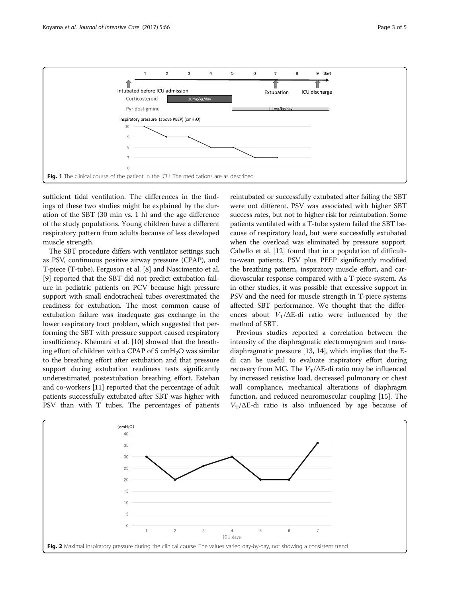<span id="page-2-0"></span>

sufficient tidal ventilation. The differences in the findings of these two studies might be explained by the duration of the SBT (30 min vs. 1 h) and the age difference of the study populations. Young children have a different respiratory pattern from adults because of less developed muscle strength.

The SBT procedure differs with ventilator settings such as PSV, continuous positive airway pressure (CPAP), and T-piece (T-tube). Ferguson et al. [\[8](#page-4-0)] and Nascimento et al. [[9\]](#page-4-0) reported that the SBT did not predict extubation failure in pediatric patients on PCV because high pressure support with small endotracheal tubes overestimated the readiness for extubation. The most common cause of extubation failure was inadequate gas exchange in the lower respiratory tract problem, which suggested that performing the SBT with pressure support caused respiratory insufficiency. Khemani et al. [\[10\]](#page-4-0) showed that the breathing effort of children with a CPAP of  $5 \text{ cm}H_2O$  was similar to the breathing effort after extubation and that pressure support during extubation readiness tests significantly underestimated postextubation breathing effort. Esteban and co-workers [\[11\]](#page-4-0) reported that the percentage of adult patients successfully extubated after SBT was higher with PSV than with T tubes. The percentages of patients

reintubated or successfully extubated after failing the SBT were not different. PSV was associated with higher SBT success rates, but not to higher risk for reintubation. Some patients ventilated with a T-tube system failed the SBT because of respiratory load, but were successfully extubated when the overload was eliminated by pressure support. Cabello et al. [[12](#page-4-0)] found that in a population of difficultto-wean patients, PSV plus PEEP significantly modified the breathing pattern, inspiratory muscle effort, and cardiovascular response compared with a T-piece system. As in other studies, it was possible that excessive support in PSV and the need for muscle strength in T-piece systems affected SBT performance. We thought that the differences about  $V_T/\Delta E$ -di ratio were influenced by the method of SBT.

Previous studies reported a correlation between the intensity of the diaphragmatic electromyogram and transdiaphragmatic pressure [\[13, 14\]](#page-4-0), which implies that the Edi can be useful to evaluate inspiratory effort during recovery from MG. The  $V_T/\Delta E$ -di ratio may be influenced by increased resistive load, decreased pulmonary or chest wall compliance, mechanical alterations of diaphragm function, and reduced neuromuscular coupling [\[15\]](#page-4-0). The  $V_T/\Delta E$ -di ratio is also influenced by age because of

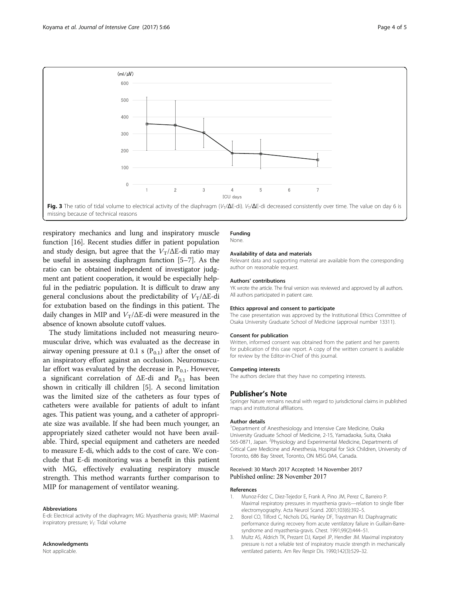

<span id="page-3-0"></span>

respiratory mechanics and lung and inspiratory muscle function [\[16\]](#page-4-0). Recent studies differ in patient population and study design, but agree that the  $V_T/\Delta E$ -di ratio may be useful in assessing diaphragm function [\[5](#page-4-0)–[7\]](#page-4-0). As the ratio can be obtained independent of investigator judgment ant patient cooperation, it would be especially helpful in the pediatric population. It is difficult to draw any general conclusions about the predictability of  $V_T/\Delta E$ -di for extubation based on the findings in this patient. The daily changes in MIP and  $V_T/\Delta E$ -di were measured in the absence of known absolute cutoff values.

The study limitations included not measuring neuromuscular drive, which was evaluated as the decrease in airway opening pressure at 0.1 s  $(P_{0,1})$  after the onset of an inspiratory effort against an occlusion. Neuromuscular effort was evaluated by the decrease in  $P_{0,1}$ . However, a significant correlation of  $\Delta E$ -di and P<sub>0.1</sub> has been shown in critically ill children [\[5\]](#page-4-0). A second limitation was the limited size of the catheters as four types of catheters were available for patients of adult to infant ages. This patient was young, and a catheter of appropriate size was available. If she had been much younger, an appropriately sized catheter would not have been available. Third, special equipment and catheters are needed to measure E-di, which adds to the cost of care. We conclude that E-di monitoring was a benefit in this patient with MG, effectively evaluating respiratory muscle strength. This method warrants further comparison to MIP for management of ventilator weaning.

#### Abbreviations

E-di: Electrical activity of the diaphragm; MG: Myasthenia gravis; MIP: Maximal inspiratory pressure;  $V_T$ : Tidal volume

#### Acknowledgments

Not applicable.

#### Funding

None.

#### Availability of data and materials

Relevant data and supporting material are available from the corresponding author on reasonable request.

#### Authors' contributions

YK wrote the article. The final version was reviewed and approved by all authors. All authors participated in patient care.

#### Ethics approval and consent to participate

The case presentation was approved by the Institutional Ethics Committee of Osaka University Graduate School of Medicine (approval number 13311).

#### Consent for publication

Written, informed consent was obtained from the patient and her parents for publication of this case report. A copy of the written consent is available for review by the Editor-in-Chief of this journal.

#### Competing interests

The authors declare that they have no competing interests.

#### Publisher's Note

Springer Nature remains neutral with regard to jurisdictional claims in published maps and institutional affiliations.

#### Author details

<sup>1</sup>Department of Anesthesiology and Intensive Care Medicine, Osaka University Graduate School of Medicine, 2-15, Yamadaoka, Suita, Osaka 565-0871, Japan. <sup>2</sup>Physiology and Experimental Medicine, Departments of Critical Care Medicine and Anesthesia, Hospital for Sick Children, University of Toronto, 686 Bay Street, Toronto, ON M5G 0A4, Canada.

#### Received: 30 March 2017 Accepted: 14 November 2017 Published online: 28 November 2017

#### References

- 1. Munoz-Fdez C, Diez-Tejedor E, Frank A, Pino JM, Perez C, Barreiro P. Maximal respiratory pressures in myasthenia gravis—relation to single fiber electromyography. Acta Neurol Scand. 2001;103(6):392–5.
- 2. Borel CO, Tilford C, Nichols DG, Hanley DF, Traystman RJ. Diaphragmatic performance during recovery from acute ventilatory failure in Guillain-Barresyndrome and myasthenia-gravis. Chest. 1991;99(2):444–51.
- 3. Multz AS, Aldrich TK, Prezant DJ, Karpel JP, Hendler JM. Maximal inspiratory pressure is not a reliable test of inspiratory muscle strength in mechanically ventilated patients. Am Rev Respir Dis. 1990;142(3):529–32.